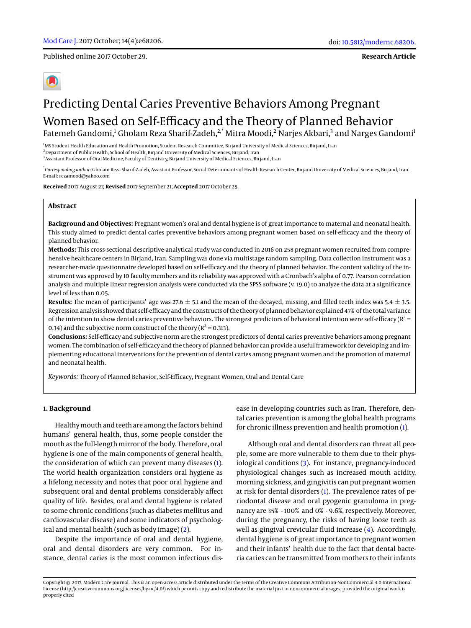Published online 2017 October 29.

**Research Article**

# Predicting Dental Caries Preventive Behaviors Among Pregnant Women Based on Self-Efficacy and the Theory of Planned Behavior Fatemeh Gandomi,<sup>1</sup> Gholam Reza Sharif-Zadeh,<sup>2,\*</sup> Mitra Moodi,<sup>2</sup> Narjes Akbari,<sup>3</sup> and Narges Gandomi<sup>1</sup>

<sup>1</sup>MS Student Health Education and Health Promotion, Student Research Committee, Birjand University of Medical Sciences, Birjand, Iran <sup>2</sup> Department of Public Health, School of Health, Birjand University of Medical Sciences, Birjand, Iran 3 Assistant Professor of Oral Medicine, Faculty of Dentistry, Birjand University of Medical Sciences, Birjand, Iran

\* *Corresponding author*: Gholam Reza Sharif-Zadeh, Assistant Professor, Social Determinants of Health Research Center, Birjand University of Medical Sciences, Birjand, Iran. E-mail: rezamood@yahoo.com

**Received** 2017 August 21; **Revised** 2017 September 21; **Accepted** 2017 October 25.

# **Abstract**

**Background and Objectives:** Pregnant women's oral and dental hygiene is of great importance to maternal and neonatal health. This study aimed to predict dental caries preventive behaviors among pregnant women based on self-efficacy and the theory of planned behavior.

**Methods:** This cross-sectional descriptive-analytical study was conducted in 2016 on 258 pregnant women recruited from comprehensive healthcare centers in Birjand, Iran. Sampling was done via multistage random sampling. Data collection instrument was a researcher-made questionnaire developed based on self-efficacy and the theory of planned behavior. The content validity of the instrument was approved by 10 faculty members and its reliability was approved with a Cronbach's alpha of 0.77. Pearson correlation analysis and multiple linear regression analysis were conducted via the SPSS software (v. 19.0) to analyze the data at a significance level of less than 0.05.

**Results:** The mean of participants' age was 27.6  $\pm$  5.1 and the mean of the decayed, missing, and filled teeth index was 5.4  $\pm$  3.5. Regression analysis showed that self-efficacy and the constructs of the theory of planned behavior explained 47% of the total variance of the intention to show dental caries preventive behaviors. The strongest predictors of behavioral intention were self-efficacy ( $R^2$  = 0.34) and the subjective norm construct of the theory ( $R^2 = 0.313$ ).

**Conclusions:** Self-efficacy and subjective norm are the strongest predictors of dental caries preventive behaviors among pregnant women. The combination of self-efficacy and the theory of planned behavior can provide a useful framework for developing and implementing educational interventions for the prevention of dental caries among pregnant women and the promotion of maternal and neonatal health.

*Keywords:* Theory of Planned Behavior, Self-Efficacy, Pregnant Women, Oral and Dental Care

## **1. Background**

Healthymouth and teeth are among the factors behind humans' general health, thus, some people consider the mouth as the full-length mirror of the body. Therefore, oral hygiene is one of the main components of general health, the consideration of which can prevent many diseases [\(1\)](#page-3-0). The world health organization considers oral hygiene as a lifelong necessity and notes that poor oral hygiene and subsequent oral and dental problems considerably affect quality of life. Besides, oral and dental hygiene is related to some chronic conditions (such as diabetes mellitus and cardiovascular disease) and some indicators of psychological and mental health (such as body image) [\(2\)](#page-3-1).

Despite the importance of oral and dental hygiene, oral and dental disorders are very common. For instance, dental caries is the most common infectious disease in developing countries such as Iran. Therefore, dental caries prevention is among the global health programs for chronic illness prevention and health promotion [\(1\)](#page-3-0).

Although oral and dental disorders can threat all people, some are more vulnerable to them due to their physiological conditions [\(3\)](#page-3-2). For instance, pregnancy-induced physiological changes such as increased mouth acidity, morning sickness, and gingivitis can put pregnant women at risk for dental disorders [\(1\)](#page-3-0). The prevalence rates of periodontal disease and oral pyogenic granuloma in pregnancy are 35% - 100% and 0% - 9.6%, respectively. Moreover, during the pregnancy, the risks of having loose teeth as well as gingival crevicular fluid increase [\(4\)](#page-3-3). Accordingly, dental hygiene is of great importance to pregnant women and their infants' health due to the fact that dental bacteria caries can be transmitted from mothers to their infants

Copyright © 2017, Modern Care Journal. This is an open-access article distributed under the terms of the Creative Commons Attribution-NonCommercial 4.0 International License (http://creativecommons.org/licenses/by-nc/4.0/) which permits copy and redistribute the material just in noncommercial usages, provided the original work is properly cited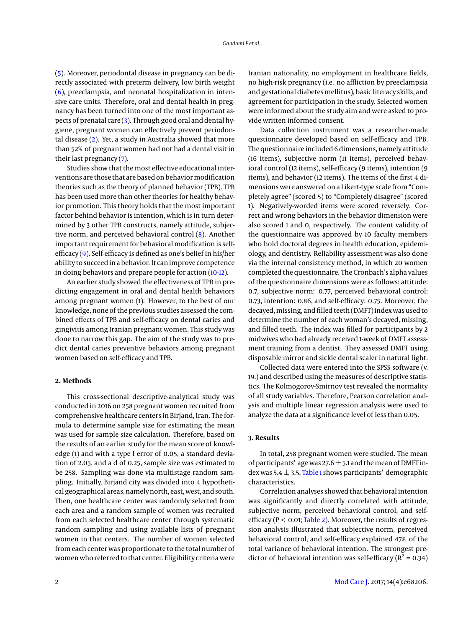[\(5\)](#page-3-4). Moreover, periodontal disease in pregnancy can be directly associated with preterm delivery, low birth weight [\(6\)](#page-3-5), preeclampsia, and neonatal hospitalization in intensive care units. Therefore, oral and dental health in pregnancy has been turned into one of the most important aspects of prenatal care [\(3\)](#page-3-2). Through good oral and dental hygiene, pregnant women can effectively prevent periodontal disease [\(2\)](#page-3-1). Yet, a study in Australia showed that more than 52% of pregnant women had not had a dental visit in their last pregnancy [\(7\)](#page-3-6).

Studies show that the most effective educational interventions are those that are based on behavior modification theories such as the theory of planned behavior (TPB). TPB has been used more than other theories for healthy behavior promotion. This theory holds that the most important factor behind behavior is intention, which is in turn determined by 3 other TPB constructs, namely attitude, subjective norm, and perceived behavioral control [\(8\)](#page-3-7). Another important requirement for behavioral modification is selfefficacy [\(9\)](#page-3-8). Self-efficacy is defined as one's belief in his/her ability to succeed in a behavior. It can improve competence in doing behaviors and prepare people for action [\(10](#page-3-9)[-12\)](#page-4-0).

An earlier study showed the effectiveness of TPB in predicting engagement in oral and dental health behaviors among pregnant women [\(1\)](#page-3-0). However, to the best of our knowledge, none of the previous studies assessed the combined effects of TPB and self-efficacy on dental caries and gingivitis among Iranian pregnant women. This study was done to narrow this gap. The aim of the study was to predict dental caries preventive behaviors among pregnant women based on self-efficacy and TPB.

#### **2. Methods**

This cross-sectional descriptive-analytical study was conducted in 2016 on 258 pregnant women recruited from comprehensive healthcare centers in Birjand, Iran. The formula to determine sample size for estimating the mean was used for sample size calculation. Therefore, based on the results of an earlier study for the mean score of knowledge [\(1\)](#page-3-0) and with a type I error of 0.05, a standard deviation of 2.05, and a d of 0.25, sample size was estimated to be 258. Sampling was done via multistage random sampling. Initially, Birjand city was divided into 4 hypothetical geographical areas, namely north, east, west, and south. Then, one healthcare center was randomly selected from each area and a random sample of women was recruited from each selected healthcare center through systematic random sampling and using available lists of pregnant women in that centers. The number of women selected from each center was proportionate to the total number of women who referred to that center. Eligibility criteria were

Iranian nationality, no employment in healthcare fields, no high-risk pregnancy (i.e. no affliction by preeclampsia and gestational diabetes mellitus), basic literacy skills, and agreement for participation in the study. Selected women were informed about the study aim and were asked to provide written informed consent.

Data collection instrument was a researcher-made questionnaire developed based on self-efficacy and TPB. The questionnaire included 6 dimensions, namely attitude (16 items), subjective norm (11 items), perceived behavioral control (12 items), self-efficacy (9 items), intention (9 items), and behavior (12 items). The items of the first 4 dimensions were answered on a Likert-type scale from "Completely agree" (scored 5) to "Completely disagree" (scored 1). Negatively-worded items were scored reversely. Correct and wrong behaviors in the behavior dimension were also scored 1 and 0, respectively. The content validity of the questionnaire was approved by 10 faculty members who hold doctoral degrees in health education, epidemiology, and dentistry. Reliability assessment was also done via the internal consistency method, in which 20 women completed the questionnaire. The Cronbach's alpha values of the questionnaire dimensions were as follows: attitude: 0.7, subjective norm: 0.77, perceived behavioral control: 0.73, intention: 0.86, and self-efficacy: 0.75. Moreover, the decayed,missing, and filled teeth (DMFT) index was used to determine the number of each woman's decayed, missing, and filled teeth. The index was filled for participants by 2 midwives who had already received 1-week of DMFT assessment training from a dentist. They assessed DMFT using disposable mirror and sickle dental scaler in natural light.

Collected data were entered into the SPSS software (v. 19.) and described using the measures of descriptive statistics. The Kolmogorov-Smirnov test revealed the normality of all study variables. Therefore, Pearson correlation analysis and multiple linear regression analysis were used to analyze the data at a significance level of less than 0.05.

## **3. Results**

In total, 258 pregnant women were studied. The mean of participants' age was 27.6  $\pm$  5.1 and the mean of DMFT index was 5.4  $\pm$  3.5. [Table 1](#page-2-0) shows participants' demographic characteristics.

Correlation analyses showed that behavioral intention was significantly and directly correlated with attitude, subjective norm, perceived behavioral control, and selfefficacy ( $P < 0.01$ ; [Table 2\)](#page-3-10). Moreover, the results of regression analysis illustrated that subjective norm, perceived behavioral control, and self-efficacy explained 47% of the total variance of behavioral intention. The strongest predictor of behavioral intention was self-efficacy ( $R^2 = 0.34$ )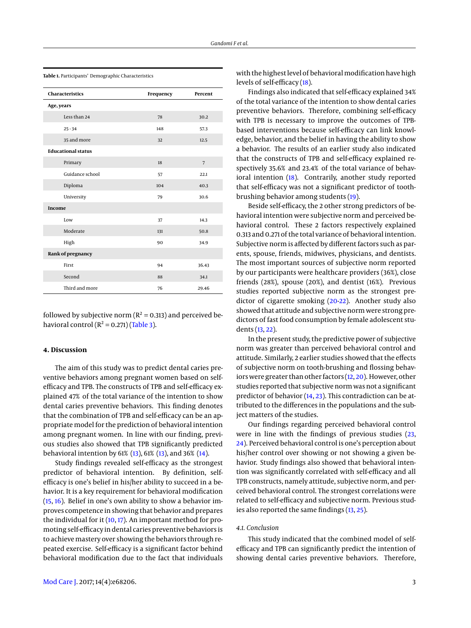| Characteristics           | Frequency | Percent         |
|---------------------------|-----------|-----------------|
| Age, years                |           |                 |
| Less than 24              | 78        | 30.2            |
| $25 - 34$                 | 148       | 57.3            |
| 35 and more               | 32        | 12.5            |
| <b>Educational status</b> |           |                 |
| Primary                   | 18        | $7\overline{ }$ |
| Guidance school           | 57        | 22.1            |
| Diploma                   | 104       | 40.3            |
| University                | 79        | 30.6            |
| Income                    |           |                 |
| Low                       | 37        | 14.3            |
| Moderate                  | 131       | 50.8            |
| High                      | 90        | 34.9            |
| Rank of pregnancy         |           |                 |
| First                     | 94        | 36.43           |
| Second                    | 88        | 34.1            |
| Third and more            | 76        | 29.46           |

<span id="page-2-0"></span>**Table 1.** Participants' Demographic Characteristics

followed by subjective norm ( $R^2 = 0.313$ ) and perceived behavioral control  $(R^2 = 0.271)$  [\(Table 3\)](#page-3-11).

#### **4. Discussion**

The aim of this study was to predict dental caries preventive behaviors among pregnant women based on selfefficacy and TPB. The constructs of TPB and self-efficacy explained 47% of the total variance of the intention to show dental caries preventive behaviors. This finding denotes that the combination of TPB and self-efficacy can be an appropriate model for the prediction of behavioral intention among pregnant women. In line with our finding, previous studies also showed that TPB significantly predicted behavioral intention by 61% [\(13\)](#page-4-1), 61% [\(13\)](#page-4-1), and 36% [\(14\)](#page-4-2).

Study findings revealed self-efficacy as the strongest predictor of behavioral intention. By definition, selfefficacy is one's belief in his/her ability to succeed in a behavior. It is a key requirement for behavioral modification [\(15,](#page-4-3) [16\)](#page-4-4). Belief in one's own ability to show a behavior improves competence in showing that behavior and prepares the individual for it  $(10, 17)$  $(10, 17)$  $(10, 17)$ . An important method for promoting self-efficacy in dental caries preventive behaviors is to achieve mastery over showing the behaviors through repeated exercise. Self-efficacy is a significant factor behind behavioral modification due to the fact that individuals

with the highest level of behavioral modification have high levels of self-efficacy [\(18\)](#page-4-6).

Findings also indicated that self-efficacy explained 34% of the total variance of the intention to show dental caries preventive behaviors. Therefore, combining self-efficacy with TPB is necessary to improve the outcomes of TPBbased interventions because self-efficacy can link knowledge, behavior, and the belief in having the ability to show a behavior. The results of an earlier study also indicated that the constructs of TPB and self-efficacy explained respectively 35.6% and 23.4% of the total variance of behavioral intention [\(18\)](#page-4-6). Contrarily, another study reported that self-efficacy was not a significant predictor of toothbrushing behavior among students [\(19\)](#page-4-7).

Beside self-efficacy, the 2 other strong predictors of behavioral intention were subjective norm and perceived behavioral control. These 2 factors respectively explained 0.313 and 0.271 of the total variance of behavioral intention. Subjective norm is affected by different factors such as parents, spouse, friends, midwives, physicians, and dentists. The most important sources of subjective norm reported by our participants were healthcare providers (36%), close friends (28%), spouse (20%), and dentist (16%). Previous studies reported subjective norm as the strongest predictor of cigarette smoking [\(20-](#page-4-8)[22\)](#page-4-9). Another study also showed that attitude and subjective norm were strong predictors of fast food consumption by female adolescent students [\(13,](#page-4-1) [22\)](#page-4-9).

In the present study, the predictive power of subjective norm was greater than perceived behavioral control and attitude. Similarly, 2 earlier studies showed that the effects of subjective norm on tooth-brushing and flossing behaviors were greater than other factors [\(12,](#page-4-0) [20\)](#page-4-8). However, other studies reported that subjective norm was not a significant predictor of behavior [\(14,](#page-4-2) [23\)](#page-4-10). This contradiction can be attributed to the differences in the populations and the subject matters of the studies.

Our findings regarding perceived behavioral control were in line with the findings of previous studies [\(23,](#page-4-10) [24\)](#page-4-11). Perceived behavioral control is one's perception about his/her control over showing or not showing a given behavior. Study findings also showed that behavioral intention was significantly correlated with self-efficacy and all TPB constructs, namely attitude, subjective norm, and perceived behavioral control. The strongest correlations were related to self-efficacy and subjective norm. Previous studies also reported the same findings [\(13,](#page-4-1) [25\)](#page-4-12).

## *4.1. Conclusion*

This study indicated that the combined model of selfefficacy and TPB can significantly predict the intention of showing dental caries preventive behaviors. Therefore,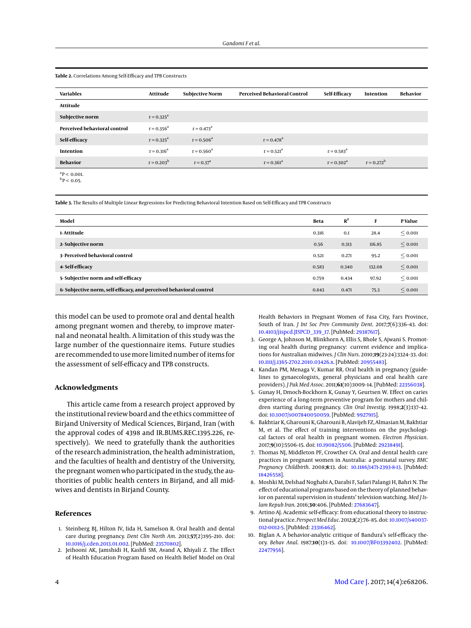| <b>Variables</b>             | Attitude      | <b>Subjective Norm</b> | <b>Perceived Behavioral Control</b> | Self-Efficacy | Intention     | <b>Behavior</b> |
|------------------------------|---------------|------------------------|-------------------------------------|---------------|---------------|-----------------|
| Attitude                     |               |                        |                                     |               |               |                 |
| Subjective norm              | $r = 0.325^a$ |                        |                                     |               |               |                 |
| Perceived behavioral control | $r = 0.356^a$ | $r = 0.473^a$          |                                     |               |               |                 |
| Self-efficacy                | $r = 0.325^a$ | $r = 0.506^a$          | $r = 0.478^a$                       |               |               |                 |
| Intention                    | $r = 0.316^a$ | $r = 0.560^a$          | $r = 0.521^a$                       | $r = 0.583^a$ |               |                 |
| <b>Behavior</b>              | $r = 0.203^b$ | $r = 0.37a$            | $r = 0.361^a$                       | $r = 0.302^a$ | $r = 0.272^b$ |                 |
| ${}^{\text{a}}P < 0.001$     |               |                        |                                     |               |               |                 |

<span id="page-3-10"></span>**Table 2.** Correlations Among Self-Efficacy and TPB Constructs

 $\rm{^6P}$  < 0.001.<br>  $\rm{^bP}$  < 0.05.

<span id="page-3-11"></span>**Table 3.** The Results of Multiple Linear Regressions for Predicting Behavioral Intention Based on Self-Efficacy and TPB Constructs

| Model                                                              | Beta  | $R^2$ | F      | <b>P</b> Value |
|--------------------------------------------------------------------|-------|-------|--------|----------------|
| 1-Attitude                                                         | 0.316 | 0.1   | 28.4   | < 0.001        |
| 2- Subjective norm                                                 | 0.56  | 0.313 | 116.85 | $\leq 0.001$   |
| 3- Perceived behavioral control                                    | 0.521 | 0.271 | 95.2   | < 0.001        |
| 4-Self-efficacy                                                    | 0.583 | 0.340 | 132.08 | < 0.001        |
| 5-Subjective norm and self-efficacy                                | 0.759 | 0.434 | 97.92  | $\leq 0.001$   |
| 6-Subjective norm, self-efficacy, and perceived behavioral control | 0.843 | 0.471 | 75.3   | < 0.001        |

this model can be used to promote oral and dental health among pregnant women and thereby, to improve maternal and neonatal health. A limitation of this study was the large number of the questionnaire items. Future studies are recommended to usemore limited number of items for the assessment of self-efficacy and TPB constructs.

#### **Acknowledgments**

This article came from a research project approved by the institutional review board and the ethics committee of Birjand University of Medical Sciences, Birjand, Iran (with the approval codes of 4398 and IR.BUMS.REC.1395.226, respectively). We need to gratefully thank the authorities of the research administration, the health administration, and the faculties of health and dentistry of the University, the pregnant women who participated in the study, the authorities of public health centers in Birjand, and all midwives and dentists in Birjand County.

#### **References**

- <span id="page-3-0"></span>1. Steinberg BJ, Hilton IV, Iida H, Samelson R. Oral health and dental care during pregnancy. *Dent Clin North Am*. 2013;**57**(2):195–210. doi: [10.1016/j.cden.2013.01.002.](http://dx.doi.org/10.1016/j.cden.2013.01.002) [PubMed: [23570802\]](http://www.ncbi.nlm.nih.gov/pubmed/23570802).
- <span id="page-3-1"></span>2. Jeihooni AK, Jamshidi H, Kashfi SM, Avand A, Khiyali Z. The Effect of Health Education Program Based on Health Belief Model on Oral

Health Behaviors in Pregnant Women of Fasa City, Fars Province, South of Iran. *J Int Soc Prev Community Dent*. 2017;**7**(6):336–43. doi: [10.4103/jispcd.JISPCD\\_339\\_17.](http://dx.doi.org/10.4103/jispcd.JISPCD_339_17) [PubMed: [29387617\]](http://www.ncbi.nlm.nih.gov/pubmed/29387617).

- <span id="page-3-2"></span>3. George A, Johnson M, Blinkhorn A, Ellis S, Bhole S, Ajwani S. Promoting oral health during pregnancy: current evidence and implications for Australian midwives. *J Clin Nurs*. 2010;**19**(23-24):3324–33. doi: [10.1111/j.1365-2702.2010.03426.x.](http://dx.doi.org/10.1111/j.1365-2702.2010.03426.x) [PubMed: [20955483\]](http://www.ncbi.nlm.nih.gov/pubmed/20955483).
- <span id="page-3-3"></span>4. Kandan PM, Menaga V, Kumar RR. Oral health in pregnancy (guidelines to gynaecologists, general physicians and oral health care providers). *J Pak Med Assoc*. 2011;**61**(10):1009–14. [PubMed: [22356038\]](http://www.ncbi.nlm.nih.gov/pubmed/22356038).
- <span id="page-3-4"></span>5. Gunay H, Dmoch-Bockhorn K, Gunay Y, Geurtsen W. Effect on caries experience of a long-term preventive program for mothers and children starting during pregnancy. *Clin Oral Investig*. 1998;**2**(3):137–42. doi: [10.1007/s007840050059.](http://dx.doi.org/10.1007/s007840050059) [PubMed: [9927915\]](http://www.ncbi.nlm.nih.gov/pubmed/9927915).
- <span id="page-3-5"></span>6. Bakhtiar K, Gharouni K, Gharouni B, Alavijeh FZ, Almasian M, Bakhtiar M, et al. The effect of training interventions on the psychological factors of oral health in pregnant women. *Electron Physician*. 2017;**9**(10):5506–15. doi: [10.19082/5506.](http://dx.doi.org/10.19082/5506) [PubMed: [29238491\]](http://www.ncbi.nlm.nih.gov/pubmed/29238491).
- <span id="page-3-6"></span>7. Thomas NJ, Middleton PF, Crowther CA. Oral and dental health care practices in pregnant women in Australia: a postnatal survey. *BMC Pregnancy Childbirth*. 2008;**8**:13. doi: [10.1186/1471-2393-8-13.](http://dx.doi.org/10.1186/1471-2393-8-13) [PubMed: [18426558\]](http://www.ncbi.nlm.nih.gov/pubmed/18426558).
- <span id="page-3-7"></span>8. Moshki M, Delshad Noghabi A, Darabi F, Safari Palangi H, Bahri N. The effect of educational programs based on the theory of planned behavior on parental supervision in students' television watching. *Med J Islam Repub Iran*. 2016;**30**:406. [PubMed: [27683647\]](http://www.ncbi.nlm.nih.gov/pubmed/27683647).
- <span id="page-3-8"></span>9. Artino AJ. Academic self-efficacy: from educational theory to instructional practice. *Perspect Med Educ*. 2012;**1**(2):76–85. doi: [10.1007/s40037-](http://dx.doi.org/10.1007/s40037-012-0012-5) [012-0012-5.](http://dx.doi.org/10.1007/s40037-012-0012-5) [PubMed: [23316462\]](http://www.ncbi.nlm.nih.gov/pubmed/23316462).
- <span id="page-3-9"></span>10. Biglan A. A behavior-analytic critique of Bandura's self-efficacy theory. *Behav Anal*. 1987;**10**(1):1–15. doi: [10.1007/BF03392402.](http://dx.doi.org/10.1007/BF03392402) [PubMed: [22477956\]](http://www.ncbi.nlm.nih.gov/pubmed/22477956).